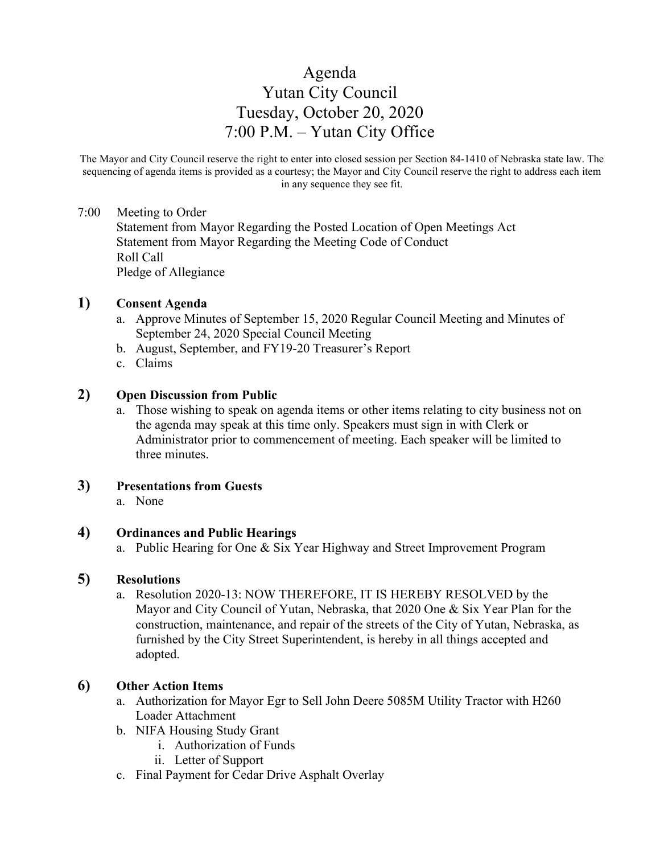# Agenda Yutan City Council Tuesday, October 20, 2020 7:00 P.M. – Yutan City Office

The Mayor and City Council reserve the right to enter into closed session per Section 84-1410 of Nebraska state law. The sequencing of agenda items is provided as a courtesy; the Mayor and City Council reserve the right to address each item in any sequence they see fit.

#### 7:00 Meeting to Order

Statement from Mayor Regarding the Posted Location of Open Meetings Act Statement from Mayor Regarding the Meeting Code of Conduct Roll Call Pledge of Allegiance

#### **1) Consent Agenda**

- a. Approve Minutes of September 15, 2020 Regular Council Meeting and Minutes of September 24, 2020 Special Council Meeting
- b. August, September, and FY19-20 Treasurer's Report
- c. Claims

#### **2) Open Discussion from Public**

a. Those wishing to speak on agenda items or other items relating to city business not on the agenda may speak at this time only. Speakers must sign in with Clerk or Administrator prior to commencement of meeting. Each speaker will be limited to three minutes.

# **3) Presentations from Guests**

a. None

# **4) Ordinances and Public Hearings**

a. Public Hearing for One & Six Year Highway and Street Improvement Program

#### **5) Resolutions**

a. Resolution 2020-13: NOW THEREFORE, IT IS HEREBY RESOLVED by the Mayor and City Council of Yutan, Nebraska, that 2020 One & Six Year Plan for the construction, maintenance, and repair of the streets of the City of Yutan, Nebraska, as furnished by the City Street Superintendent, is hereby in all things accepted and adopted.

# **6) Other Action Items**

- a. Authorization for Mayor Egr to Sell John Deere 5085M Utility Tractor with H260 Loader Attachment
- b. NIFA Housing Study Grant
	- i. Authorization of Funds
	- ii. Letter of Support
- c. Final Payment for Cedar Drive Asphalt Overlay